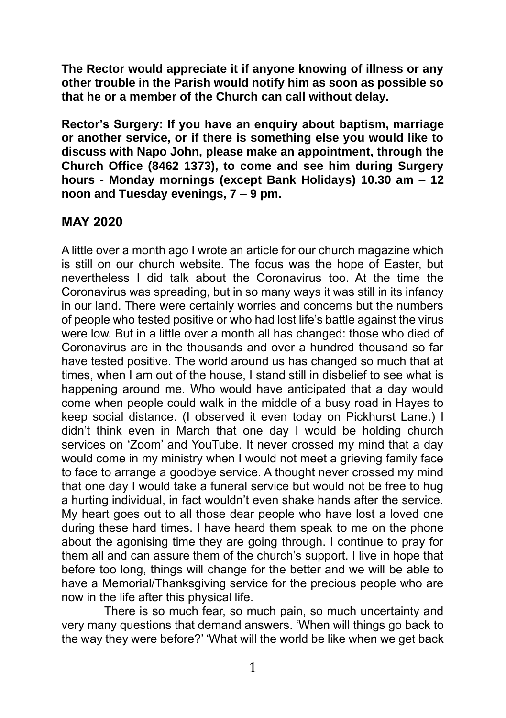**The Rector would appreciate it if anyone knowing of illness or any other trouble in the Parish would notify him as soon as possible so that he or a member of the Church can call without delay.**

**Rector's Surgery: If you have an enquiry about baptism, marriage or another service, or if there is something else you would like to discuss with Napo John, please make an appointment, through the Church Office (8462 1373), to come and see him during Surgery hours - Monday mornings (except Bank Holidays) 10.30 am – 12 noon and Tuesday evenings, 7 – 9 pm.**

## **MAY 2020**

A little over a month ago I wrote an article for our church magazine which is still on our church website. The focus was the hope of Easter, but nevertheless I did talk about the Coronavirus too. At the time the Coronavirus was spreading, but in so many ways it was still in its infancy in our land. There were certainly worries and concerns but the numbers of people who tested positive or who had lost life's battle against the virus were low. But in a little over a month all has changed: those who died of Coronavirus are in the thousands and over a hundred thousand so far have tested positive. The world around us has changed so much that at times, when I am out of the house, I stand still in disbelief to see what is happening around me. Who would have anticipated that a day would come when people could walk in the middle of a busy road in Hayes to keep social distance. (I observed it even today on Pickhurst Lane.) I didn't think even in March that one day I would be holding church services on 'Zoom' and YouTube. It never crossed my mind that a day would come in my ministry when I would not meet a grieving family face to face to arrange a goodbye service. A thought never crossed my mind that one day I would take a funeral service but would not be free to hug a hurting individual, in fact wouldn't even shake hands after the service. My heart goes out to all those dear people who have lost a loved one during these hard times. I have heard them speak to me on the phone about the agonising time they are going through. I continue to pray for them all and can assure them of the church's support. I live in hope that before too long, things will change for the better and we will be able to have a Memorial/Thanksgiving service for the precious people who are now in the life after this physical life.

There is so much fear, so much pain, so much uncertainty and very many questions that demand answers. 'When will things go back to the way they were before?' 'What will the world be like when we get back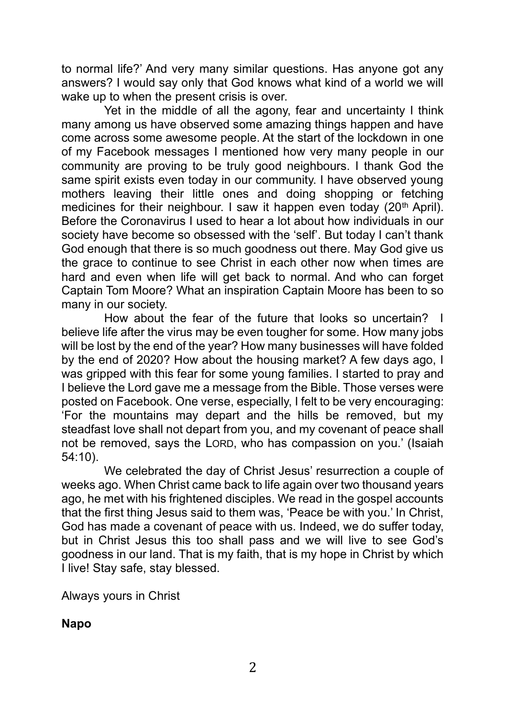to normal life?' And very many similar questions. Has anyone got any answers? I would say only that God knows what kind of a world we will wake up to when the present crisis is over.

Yet in the middle of all the agony, fear and uncertainty I think many among us have observed some amazing things happen and have come across some awesome people. At the start of the lockdown in one of my Facebook messages I mentioned how very many people in our community are proving to be truly good neighbours. I thank God the same spirit exists even today in our community. I have observed young mothers leaving their little ones and doing shopping or fetching medicines for their neighbour. I saw it happen even today  $(20<sup>th</sup>$  April). Before the Coronavirus I used to hear a lot about how individuals in our society have become so obsessed with the 'self'. But today I can't thank God enough that there is so much goodness out there. May God give us the grace to continue to see Christ in each other now when times are hard and even when life will get back to normal. And who can forget Captain Tom Moore? What an inspiration Captain Moore has been to so many in our society.

How about the fear of the future that looks so uncertain? I believe life after the virus may be even tougher for some. How many jobs will be lost by the end of the year? How many businesses will have folded by the end of 2020? How about the housing market? A few days ago, I was gripped with this fear for some young families. I started to pray and I believe the Lord gave me a message from the Bible. Those verses were posted on Facebook. One verse, especially, I felt to be very encouraging: 'For the mountains may depart and the hills be removed, but my steadfast love shall not depart from you, and my covenant of peace shall not be removed, says the LORD, who has compassion on you.' (Isaiah 54:10).

We celebrated the day of Christ Jesus' resurrection a couple of weeks ago. When Christ came back to life again over two thousand years ago, he met with his frightened disciples. We read in the gospel accounts that the first thing Jesus said to them was, 'Peace be with you.' In Christ, God has made a covenant of peace with us. Indeed, we do suffer today, but in Christ Jesus this too shall pass and we will live to see God's goodness in our land. That is my faith, that is my hope in Christ by which I live! Stay safe, stay blessed.

Always yours in Christ

**Napo**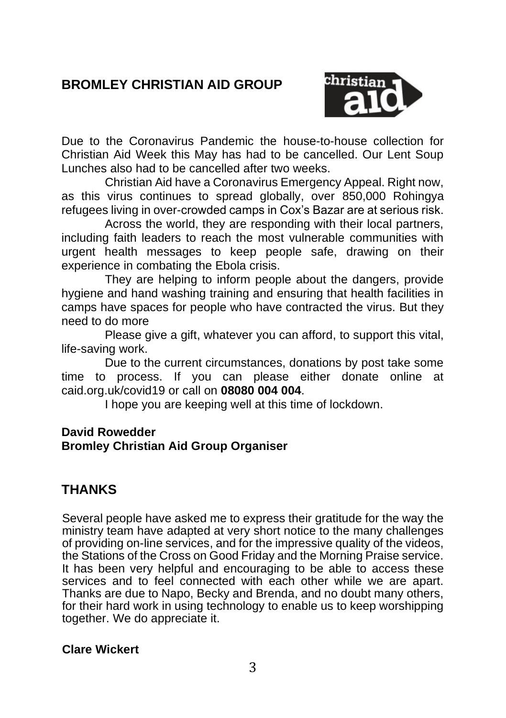# **BROMLEY CHRISTIAN AID GROUP**



Due to the Coronavirus Pandemic the house-to-house collection for Christian Aid Week this May has had to be cancelled. Our Lent Soup Lunches also had to be cancelled after two weeks.

Christian Aid have a Coronavirus Emergency Appeal. Right now, as this virus continues to spread globally, over 850,000 Rohingya refugees living in over-crowded camps in Cox's Bazar are at serious risk.

Across the world, they are responding with their local partners, including faith leaders to reach the most vulnerable communities with urgent health messages to keep people safe, drawing on their experience in combating the Ebola crisis.

They are helping to inform people about the dangers, provide hygiene and hand washing training and ensuring that health facilities in camps have spaces for people who have contracted the virus. But they need to do more

Please give a gift, whatever you can afford, to support this vital, life-saving work.

Due to the current circumstances, donations by post take some time to process. If you can please either donate online at caid.org.uk/covid19 or call on **08080 004 004**.

I hope you are keeping well at this time of lockdown.

#### **David Rowedder Bromley Christian Aid Group Organiser**

## **THANKS**

Several people have asked me to express their gratitude for the way the ministry team have adapted at very short notice to the many challenges of providing on-line services, and for the impressive quality of the videos, the Stations of the Cross on Good Friday and the Morning Praise service. It has been very helpful and encouraging to be able to access these services and to feel connected with each other while we are apart. Thanks are due to Napo, Becky and Brenda, and no doubt many others, for their hard work in using technology to enable us to keep worshipping together. We do appreciate it.

#### **Clare Wickert**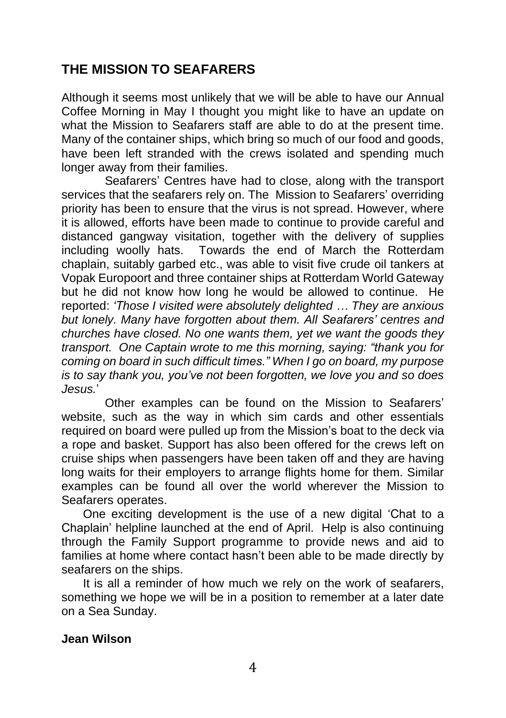## **THE MISSION TO SEAFARERS**

Although it seems most unlikely that we will be able to have our Annual Coffee Morning in May I thought you might like to have an update on what the Mission to Seafarers staff are able to do at the present time. Many of the container ships, which bring so much of our food and goods, have been left stranded with the crews isolated and spending much longer away from their families.

Seafarers' Centres have had to close, along with the transport services that the seafarers rely on. The Mission to Seafarers' overriding priority has been to ensure that the virus is not spread. However, where it is allowed, efforts have been made to continue to provide careful and distanced gangway visitation, together with the delivery of supplies including woolly hats. Towards the end of March the Rotterdam chaplain, suitably garbed etc., was able to visit five crude oil tankers at Vopak Europoort and three container ships at Rotterdam World Gateway but he did not know how long he would be allowed to continue. He reported: *'Those I visited were absolutely delighted … They are anxious but lonely. Many have forgotten about them. All Seafarers' centres and churches have closed. No one wants them, yet we want the goods they transport. One Captain wrote to me this morning, saying: "thank you for coming on board in such difficult times." When I go on board, my purpose is to say thank you, you've not been forgotten, we love you and so does Jesus.*'

Other examples can be found on the Mission to Seafarers' website, such as the way in which sim cards and other essentials required on board were pulled up from the Mission's boat to the deck via a rope and basket. Support has also been offered for the crews left on cruise ships when passengers have been taken off and they are having long waits for their employers to arrange flights home for them. Similar examples can be found all over the world wherever the Mission to Seafarers operates.

One exciting development is the use of a new digital 'Chat to a Chaplain' helpline launched at the end of April. Help is also continuing through the Family Support programme to provide news and aid to families at home where contact hasn't been able to be made directly by seafarers on the ships.

It is all a reminder of how much we rely on the work of seafarers, something we hope we will be in a position to remember at a later date on a Sea Sunday.

#### **Jean Wilson**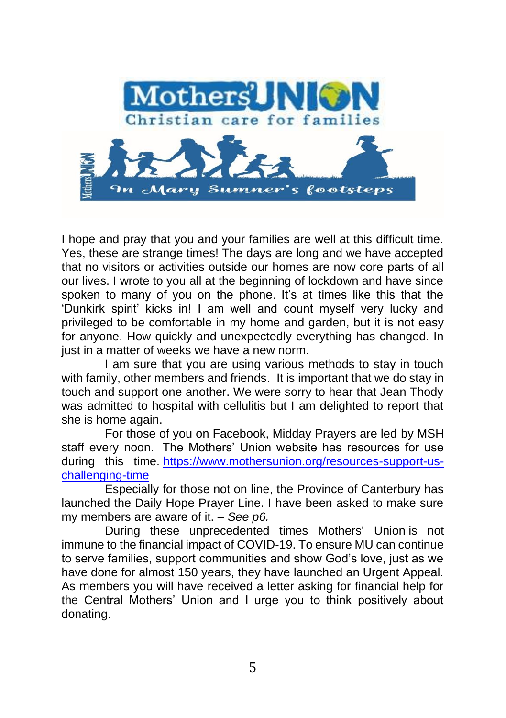

I hope and pray that you and your families are well at this difficult time. Yes, these are strange times! The days are long and we have accepted that no visitors or activities outside our homes are now core parts of all our lives. I wrote to you all at the beginning of lockdown and have since spoken to many of you on the phone. It's at times like this that the 'Dunkirk spirit' kicks in! I am well and count myself very lucky and privileged to be comfortable in my home and garden, but it is not easy for anyone. How quickly and unexpectedly everything has changed. In just in a matter of weeks we have a new norm.

I am sure that you are using various methods to stay in touch with family, other members and friends. It is important that we do stay in touch and support one another. We were sorry to hear that Jean Thody was admitted to hospital with cellulitis but I am delighted to report that she is home again.

For those of you on Facebook, Midday Prayers are led by MSH staff every noon. The Mothers' Union website has resources for use during this time. [https://www.mothersunion.org/resources-support-us](https://www.mothersunion.org/resources-support-us-challenging-time)[challenging-time](https://www.mothersunion.org/resources-support-us-challenging-time)

Especially for those not on line, the Province of Canterbury has launched the Daily Hope Prayer Line. I have been asked to make sure my members are aware of it. – *See p6.*

During these unprecedented times Mothers' Union is not immune to the financial impact of COVID-19. To ensure MU can continue to serve families, support communities and show God's love, just as we have done for almost 150 years, they have launched an Urgent Appeal. As members you will have received a letter asking for financial help for the Central Mothers' Union and I urge you to think positively about donating.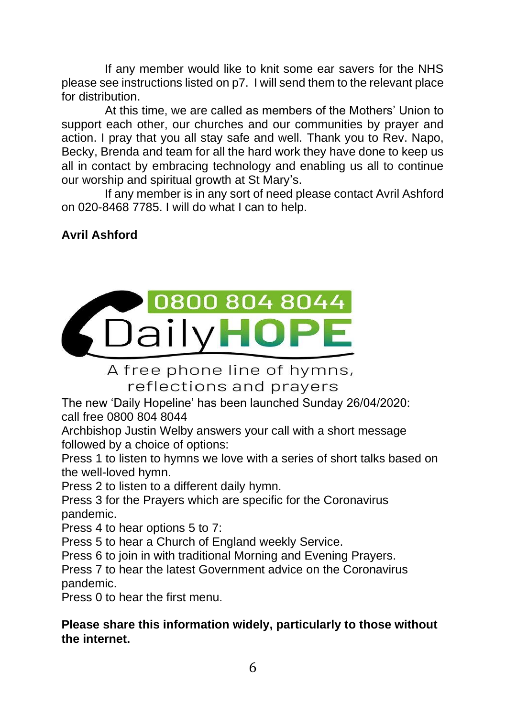If any member would like to knit some ear savers for the NHS please see instructions listed on p7. I will send them to the relevant place for distribution.

At this time, we are called as members of the Mothers' Union to support each other, our churches and our communities by prayer and action. I pray that you all stay safe and well. Thank you to Rev. Napo, Becky, Brenda and team for all the hard work they have done to keep us all in contact by embracing technology and enabling us all to continue our worship and spiritual growth at St Mary's.

If any member is in any sort of need please contact Avril Ashford on 020-8468 7785. I will do what I can to help.

# **Avril Ashford**



A free phone line of hymns, reflections and prayers

The new 'Daily Hopeline' has been launched Sunday 26/04/2020: call free 0800 804 8044

Archbishop Justin Welby answers your call with a short message followed by a choice of options:

Press 1 to listen to hymns we love with a series of short talks based on the well-loved hymn.

Press 2 to listen to a different daily hymn.

Press 3 for the Prayers which are specific for the Coronavirus pandemic.

Press 4 to hear options 5 to 7:

Press 5 to hear a Church of England weekly Service.

Press 6 to join in with traditional Morning and Evening Prayers.

Press 7 to hear the latest Government advice on the Coronavirus pandemic.

Press 0 to hear the first menu.

#### **Please share this information widely, particularly to those without the internet.**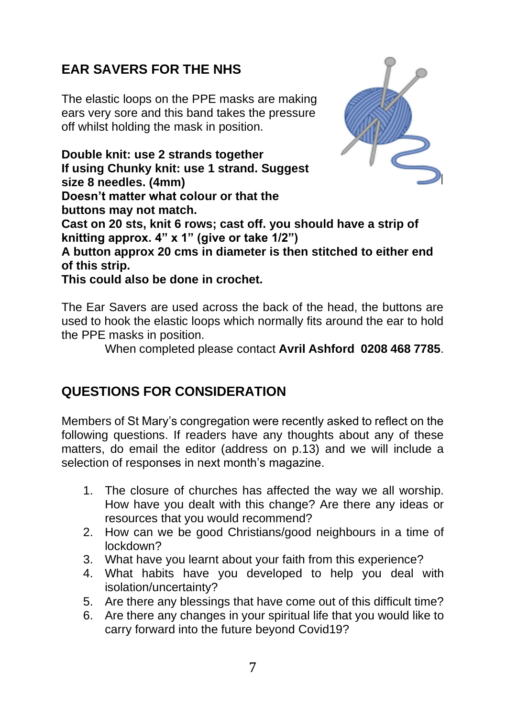# **EAR SAVERS FOR THE NHS**

The elastic loops on the PPE masks are making ears very sore and this band takes the pressure off whilst holding the mask in position.

**Double knit: use 2 strands together If using Chunky knit: use 1 strand. Suggest size 8 needles. (4mm) Doesn't matter what colour or that the buttons may not match. Cast on 20 sts, knit 6 rows; cast off. you should have a strip of knitting approx. 4" x 1" (give or take 1/2") A button approx 20 cms in diameter is then stitched to either end of this strip.**

**This could also be done in crochet.**

The Ear Savers are used across the back of the head, the buttons are used to hook the elastic loops which normally fits around the ear to hold the PPE masks in position.

When completed please contact **Avril Ashford 0208 468 7785**.

## **QUESTIONS FOR CONSIDERATION**

Members of St Mary's congregation were recently asked to reflect on the following questions. If readers have any thoughts about any of these matters, do email the editor (address on p.13) and we will include a selection of responses in next month's magazine.

- 1. The closure of churches has affected the way we all worship. How have you dealt with this change? Are there any ideas or resources that you would recommend?
- 2. How can we be good Christians/good neighbours in a time of lockdown?
- 3. What have you learnt about your faith from this experience?
- 4. What habits have you developed to help you deal with isolation/uncertainty?
- 5. Are there any blessings that have come out of this difficult time?
- 6. Are there any changes in your spiritual life that you would like to carry forward into the future beyond Covid19?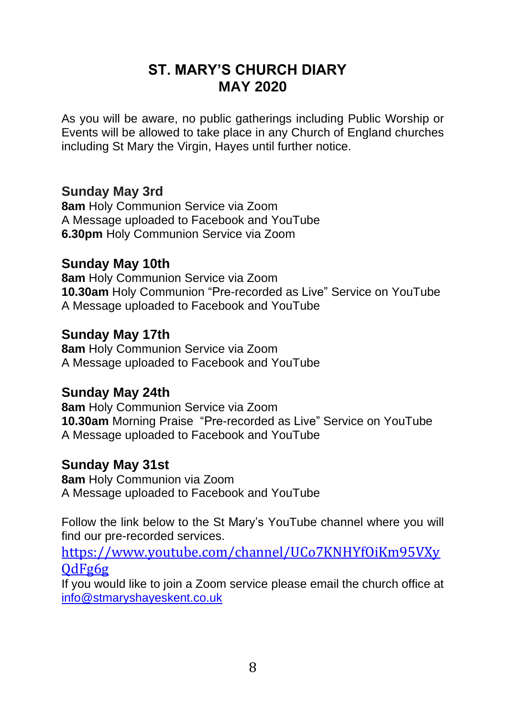# **ST. MARY'S CHURCH DIARY MAY 2020**

As you will be aware, no public gatherings including Public Worship or Events will be allowed to take place in any Church of England churches including St Mary the Virgin, Hayes until further notice.

### **Sunday May 3rd**

**8am** Holy Communion Service via Zoom A Message uploaded to Facebook and YouTube **6.30pm** Holy Communion Service via Zoom

### **Sunday May 10th**

**8am** Holy Communion Service via Zoom **10.30am** Holy Communion "Pre-recorded as Live" Service on YouTube A Message uploaded to Facebook and YouTube

#### **Sunday May 17th**

**8am** Holy Communion Service via Zoom A Message uploaded to Facebook and YouTube

### **Sunday May 24th**

**8am** Holy Communion Service via Zoom **10.30am** Morning Praise "Pre-recorded as Live" Service on YouTube A Message uploaded to Facebook and YouTube

### **Sunday May 31st**

**8am** Holy Communion via Zoom A Message uploaded to Facebook and YouTube

Follow the link below to the St Mary's YouTube channel where you will find our pre-recorded services.

[https://www.youtube.com/channel/UCo7KNHYfOiKm95VXy](https://www.youtube.com/channel/UCo7KNHYfOiKm95VXyQdFg6g) [QdFg6g](https://www.youtube.com/channel/UCo7KNHYfOiKm95VXyQdFg6g)

If you would like to join a Zoom service please email the church office at [info@stmaryshayeskent.co.uk](mailto:info@stmaryshayeskent.co.uk)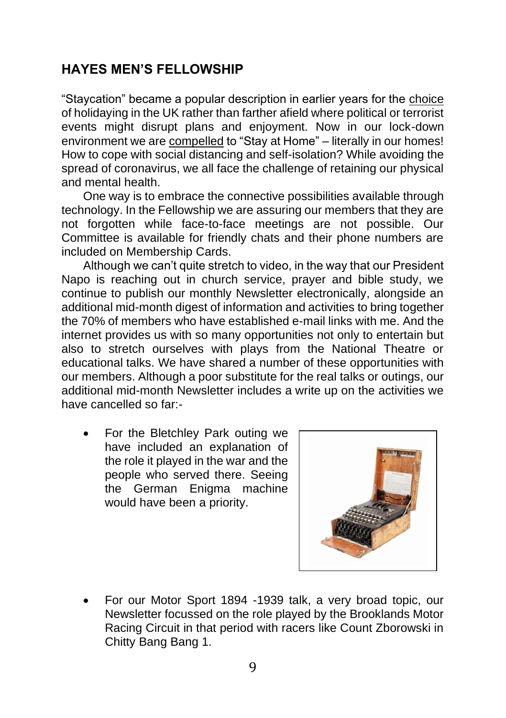## **HAYES MEN'S FELLOWSHIP**

"Staycation" became a popular description in earlier years for the choice of holidaying in the UK rather than farther afield where political or terrorist events might disrupt plans and enjoyment. Now in our lock-down environment we are compelled to "Stay at Home" – literally in our homes! How to cope with social distancing and self-isolation? While avoiding the spread of coronavirus, we all face the challenge of retaining our physical and mental health.

One way is to embrace the connective possibilities available through technology. In the Fellowship we are assuring our members that they are not forgotten while face-to-face meetings are not possible. Our Committee is available for friendly chats and their phone numbers are included on Membership Cards.

Although we can't quite stretch to video, in the way that our President Napo is reaching out in church service, prayer and bible study, we continue to publish our monthly Newsletter electronically, alongside an additional mid-month digest of information and activities to bring together the 70% of members who have established e-mail links with me. And the internet provides us with so many opportunities not only to entertain but also to stretch ourselves with plays from the National Theatre or educational talks. We have shared a number of these opportunities with our members. Although a poor substitute for the real talks or outings, our additional mid-month Newsletter includes a write up on the activities we have cancelled so far:-

• For the Bletchley Park outing we have included an explanation of the role it played in the war and the people who served there. Seeing the German Enigma machine would have been a priority.



• For our Motor Sport 1894 -1939 talk, a very broad topic, our Newsletter focussed on the role played by the Brooklands Motor Racing Circuit in that period with racers like Count Zborowski in Chitty Bang Bang 1.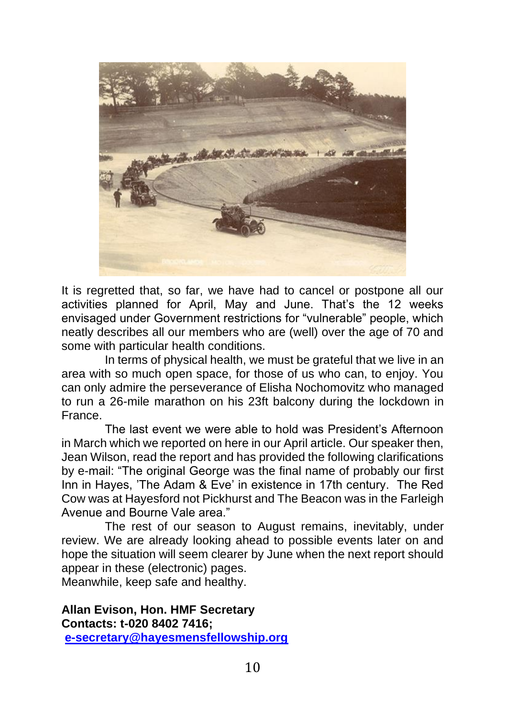

It is regretted that, so far, we have had to cancel or postpone all our activities planned for April, May and June. That's the 12 weeks envisaged under Government restrictions for "vulnerable" people, which neatly describes all our members who are (well) over the age of 70 and some with particular health conditions.

In terms of physical health, we must be grateful that we live in an area with so much open space, for those of us who can, to enjoy. You can only admire the perseverance of Elisha Nochomovitz who managed to run a 26-mile marathon on his 23ft balcony during the lockdown in France.

The last event we were able to hold was President's Afternoon in March which we reported on here in our April article. Our speaker then, Jean Wilson, read the report and has provided the following clarifications by e-mail: "The original George was the final name of probably our first Inn in Hayes, 'The Adam & Eve' in existence in 17th century. The Red Cow was at Hayesford not Pickhurst and The Beacon was in the Farleigh Avenue and Bourne Vale area."

The rest of our season to August remains, inevitably, under review. We are already looking ahead to possible events later on and hope the situation will seem clearer by June when the next report should appear in these (electronic) pages.

Meanwhile, keep safe and healthy.

**Allan Evison, Hon. HMF Secretary Contacts: t-020 8402 7416; [e-secretary@hayesmensfellowship.org](mailto:e-secretary@hayesmensfellowship.org)**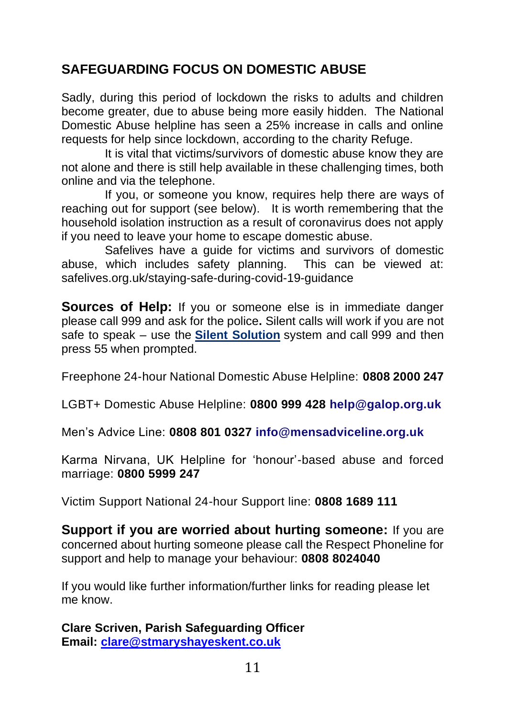# **SAFEGUARDING FOCUS ON DOMESTIC ABUSE**

Sadly, during this period of lockdown the risks to adults and children become greater, due to abuse being more easily hidden. The National Domestic Abuse helpline has seen a 25% increase in calls and online requests for help since lockdown, according to the charity Refuge.

It is vital that victims/survivors of domestic abuse know they are not alone and there is still help available in these challenging times, both online and via the telephone.

If you, or someone you know, requires help there are ways of reaching out for support (see below). It is worth remembering that the household isolation instruction as a result of coronavirus does not apply if you need to leave your home to escape domestic abuse.

Safelives have a guide for victims and survivors of domestic abuse, which includes safety planning. This can be viewed at: safelives.org.uk/staying-safe-during-covid-19-guidance

**Sources of Help:** If you or someone else is in immediate danger please call 999 and ask for the police**.** Silent calls will work if you are not safe to speak – use the **[Silent Solution](https://www.policeconduct.gov.uk/sites/default/files/Documents/research-learning/Silent_solution_guide.pdf)** system and call 999 and then press 55 when prompted.

Freephone 24-hour National Domestic Abuse Helpline: **0808 2000 247**

LGBT+ Domestic Abuse Helpline: **0800 999 428 [help@galop.org.uk](mailto:help@galop.org.uk)**

Men's Advice Line: **0808 801 0327 [info@mensadviceline.org.uk](mailto:info@mensadviceline.org.uk)**

Karma Nirvana, UK Helpline for 'honour'-based abuse and forced marriage: **0800 5999 247**

Victim Support National 24-hour Support line: **0808 1689 111**

**Support if you are worried about hurting someone:** If you are concerned about hurting someone please call the Respect Phoneline for support and help to manage your behaviour: **0808 8024040**

If you would like further information/further links for reading please let me know.

**Clare Scriven, Parish Safeguarding Officer Email: [clare@stmaryshayeskent.co.uk](mailto:clare@stmaryshayeskent.co.uk)**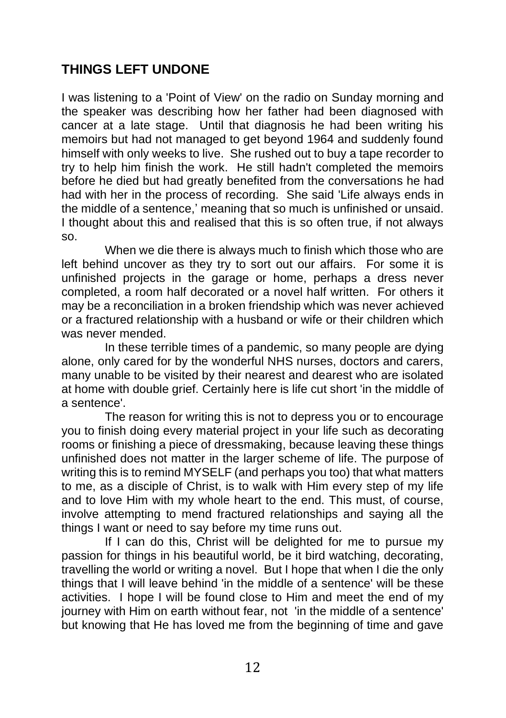# **THINGS LEFT UNDONE**

I was listening to a 'Point of View' on the radio on Sunday morning and the speaker was describing how her father had been diagnosed with cancer at a late stage. Until that diagnosis he had been writing his memoirs but had not managed to get beyond 1964 and suddenly found himself with only weeks to live. She rushed out to buy a tape recorder to try to help him finish the work. He still hadn't completed the memoirs before he died but had greatly benefited from the conversations he had had with her in the process of recording. She said 'Life always ends in the middle of a sentence,' meaning that so much is unfinished or unsaid. I thought about this and realised that this is so often true, if not always so.

When we die there is always much to finish which those who are left behind uncover as they try to sort out our affairs. For some it is unfinished projects in the garage or home, perhaps a dress never completed, a room half decorated or a novel half written. For others it may be a reconciliation in a broken friendship which was never achieved or a fractured relationship with a husband or wife or their children which was never mended.

In these terrible times of a pandemic, so many people are dying alone, only cared for by the wonderful NHS nurses, doctors and carers, many unable to be visited by their nearest and dearest who are isolated at home with double grief. Certainly here is life cut short 'in the middle of a sentence'.

The reason for writing this is not to depress you or to encourage you to finish doing every material project in your life such as decorating rooms or finishing a piece of dressmaking, because leaving these things unfinished does not matter in the larger scheme of life. The purpose of writing this is to remind MYSELF (and perhaps you too) that what matters to me, as a disciple of Christ, is to walk with Him every step of my life and to love Him with my whole heart to the end. This must, of course, involve attempting to mend fractured relationships and saying all the things I want or need to say before my time runs out.

If I can do this, Christ will be delighted for me to pursue my passion for things in his beautiful world, be it bird watching, decorating, travelling the world or writing a novel. But I hope that when I die the only things that I will leave behind 'in the middle of a sentence' will be these activities. I hope I will be found close to Him and meet the end of my journey with Him on earth without fear, not 'in the middle of a sentence' but knowing that He has loved me from the beginning of time and gave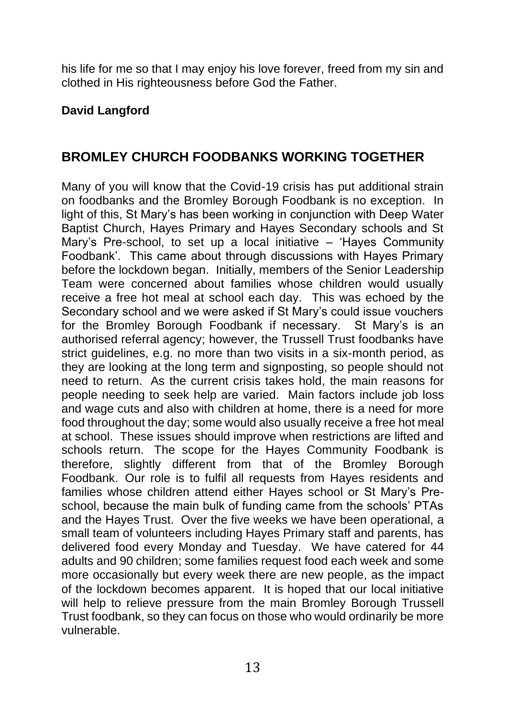his life for me so that I may enjoy his love forever, freed from my sin and clothed in His righteousness before God the Father.

### **David Langford**

## **BROMLEY CHURCH FOODBANKS WORKING TOGETHER**

Many of you will know that the Covid-19 crisis has put additional strain on foodbanks and the Bromley Borough Foodbank is no exception. In light of this, St Mary's has been working in conjunction with Deep Water Baptist Church, Hayes Primary and Hayes Secondary schools and St Mary's Pre-school, to set up a local initiative – 'Hayes Community Foodbank'. This came about through discussions with Hayes Primary before the lockdown began. Initially, members of the Senior Leadership Team were concerned about families whose children would usually receive a free hot meal at school each day. This was echoed by the Secondary school and we were asked if St Mary's could issue vouchers for the Bromley Borough Foodbank if necessary. St Mary's is an authorised referral agency; however, the Trussell Trust foodbanks have strict guidelines, e.g. no more than two visits in a six-month period, as they are looking at the long term and signposting, so people should not need to return. As the current crisis takes hold, the main reasons for people needing to seek help are varied. Main factors include job loss and wage cuts and also with children at home, there is a need for more food throughout the day; some would also usually receive a free hot meal at school. These issues should improve when restrictions are lifted and schools return. The scope for the Hayes Community Foodbank is therefore, slightly different from that of the Bromley Borough Foodbank. Our role is to fulfil all requests from Hayes residents and families whose children attend either Hayes school or St Mary's Preschool, because the main bulk of funding came from the schools' PTAs and the Hayes Trust. Over the five weeks we have been operational, a small team of volunteers including Hayes Primary staff and parents, has delivered food every Monday and Tuesday. We have catered for 44 adults and 90 children; some families request food each week and some more occasionally but every week there are new people, as the impact of the lockdown becomes apparent. It is hoped that our local initiative will help to relieve pressure from the main Bromley Borough Trussell Trust foodbank, so they can focus on those who would ordinarily be more vulnerable.